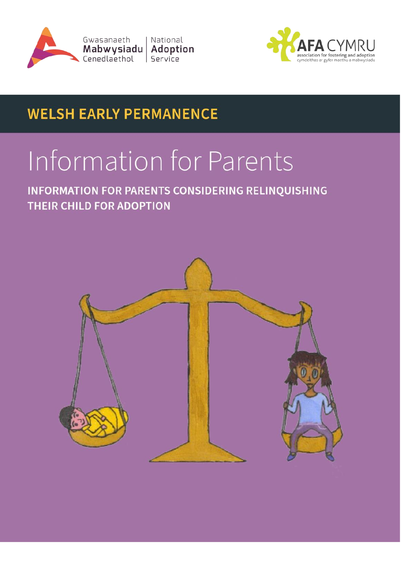



## **WELSH EARLY PERMANENCE**

# Information for Parents

**INFORMATION FOR PARENTS CONSIDERING RELINQUISHING THEIR CHILD FOR ADOPTION**